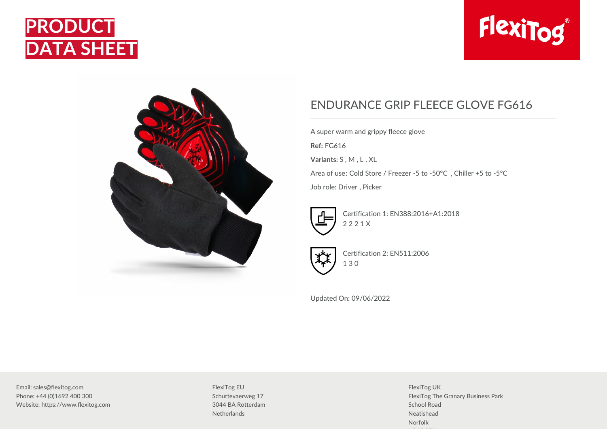





# ENDURANCE GRIP FLEECE GLOVE FG616

A super warm and grippy fleece glove

**Ref:** FG616

**Variants:** S , M , L , XL

Area of use: Cold Store / Freezer -5 to -50°C , Chiller +5 to -5°C

Job role: Driver , Picker



Certification 1: EN388:2016+A1:2018 2 2 2 1 X



Certification 2: EN511:2006 1 3 0

Updated On: 09/06/2022

Email: sales@flexitog.com Phone: +44 (0)1692 400 300 Website: https://www.flexitog.com

FlexiTog EU Schuttevaerweg 17 3044 BA Rotterdam **Netherlands** 

FlexiTog UK FlexiTog The Granary Business Park School Road Neatishead Norfolk